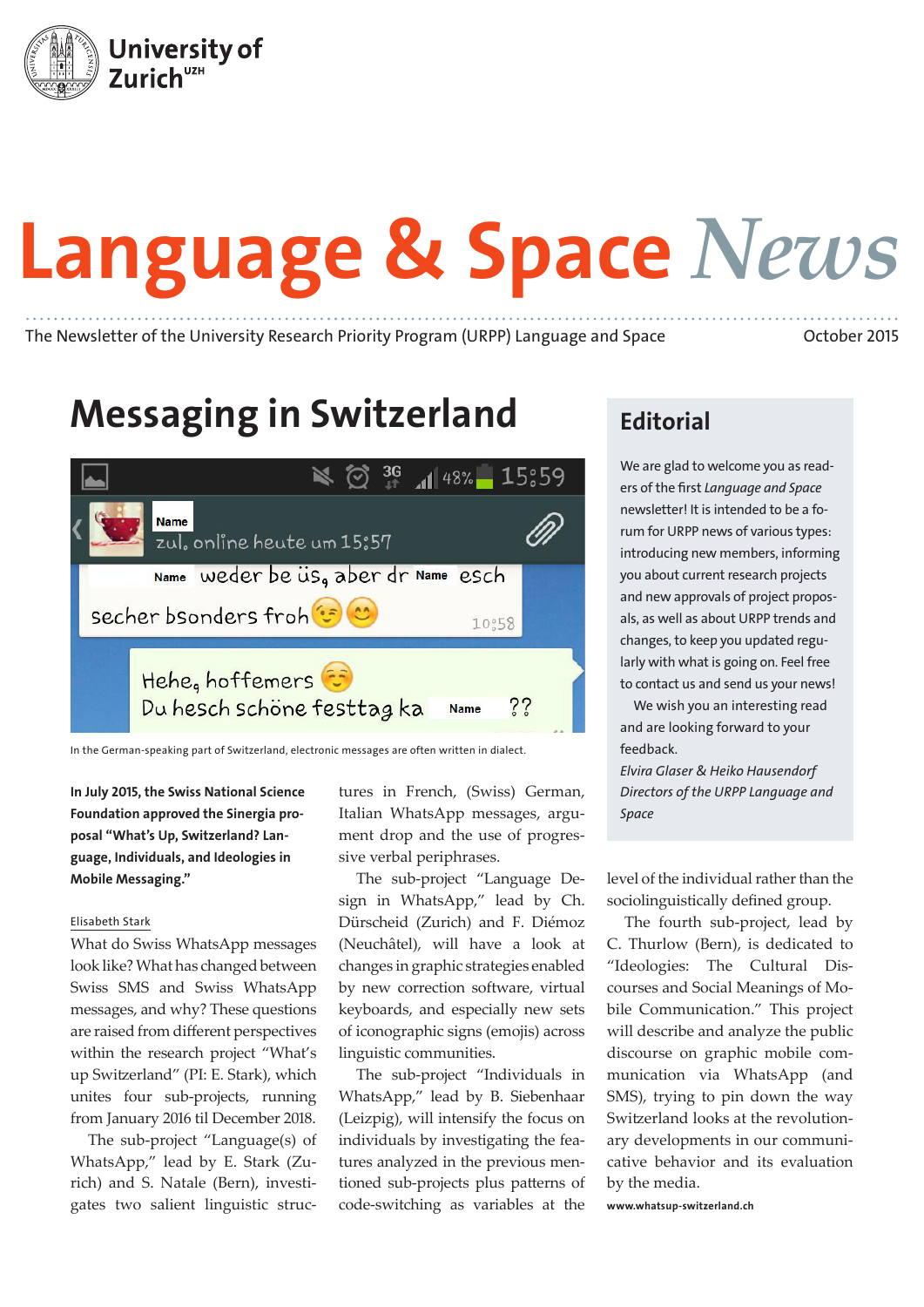

# Language & Space *News*

The Newsletter of the University Research Priority Program (URPP) Language and Space October 2015

# Messaging in Switzerland



In the German-speaking part of Switzerland, electronic messages are often written in dialect.

In July 2015, the Swiss National Science Foundation approved the Sinergia proposal "What's Up, Switzerland? Language, Individuals, and Ideologies in Mobile Messaging."

#### Elisabeth Stark

What do Swiss WhatsApp messages look like? What has changed between Swiss SMS and Swiss WhatsApp messages, and why? These questions are raised from different perspectives within the research project "What's up Switzerland" (PI: E. Stark), which unites four sub-projects, running from January 2016 til December 2018.

The sub-project "Language(s) of WhatsApp," lead by E. Stark (Zurich) and S. Natale (Bern), investigates two salient linguistic structures in French, (Swiss) German, Italian WhatsApp messages, argument drop and the use of progressive verbal periphrases.

The sub-project "Language Design in WhatsApp," lead by Ch. Dürscheid (Zurich) and F. Diémoz (Neuchâtel), will have a look at changes in graphic strategies enabled by new correction software, virtual keyboards, and especially new sets of iconographic signs (emojis) across linguistic communities.

The sub-project "Individuals in WhatsApp," lead by B. Siebenhaar (Leizpig), will intensify the focus on individuals by investigating the features analyzed in the previous mentioned sub-projects plus patterns of code-switching as variables at the

## **Editorial**

We are glad to welcome you as readers of the first *Language and Space* newsletter! It is intended to be a forum for URPP news of various types: introducing new members, informing you about current research projects and new approvals of project proposals, as well as about URPP trends and changes, to keep you updated regularly with what is going on. Feel free to contact us and send us your news!

We wish you an interesting read and are looking forward to your feedback.

*Elvira Glaser & Heiko Hausendorf Directors of the URPP Language and Space*

level of the individual rather than the sociolinguistically defined group.

The fourth sub-project, lead by C. Thurlow (Bern), is dedicated to "Ideologies: The Cultural Discourses and Social Meanings of Mobile Communication." This project will describe and analyze the public discourse on graphic mobile communication via WhatsApp (and SMS), trying to pin down the way Switzerland looks at the revolutionary developments in our communicative behavior and its evaluation by the media.

www.whatsup-switzerland.ch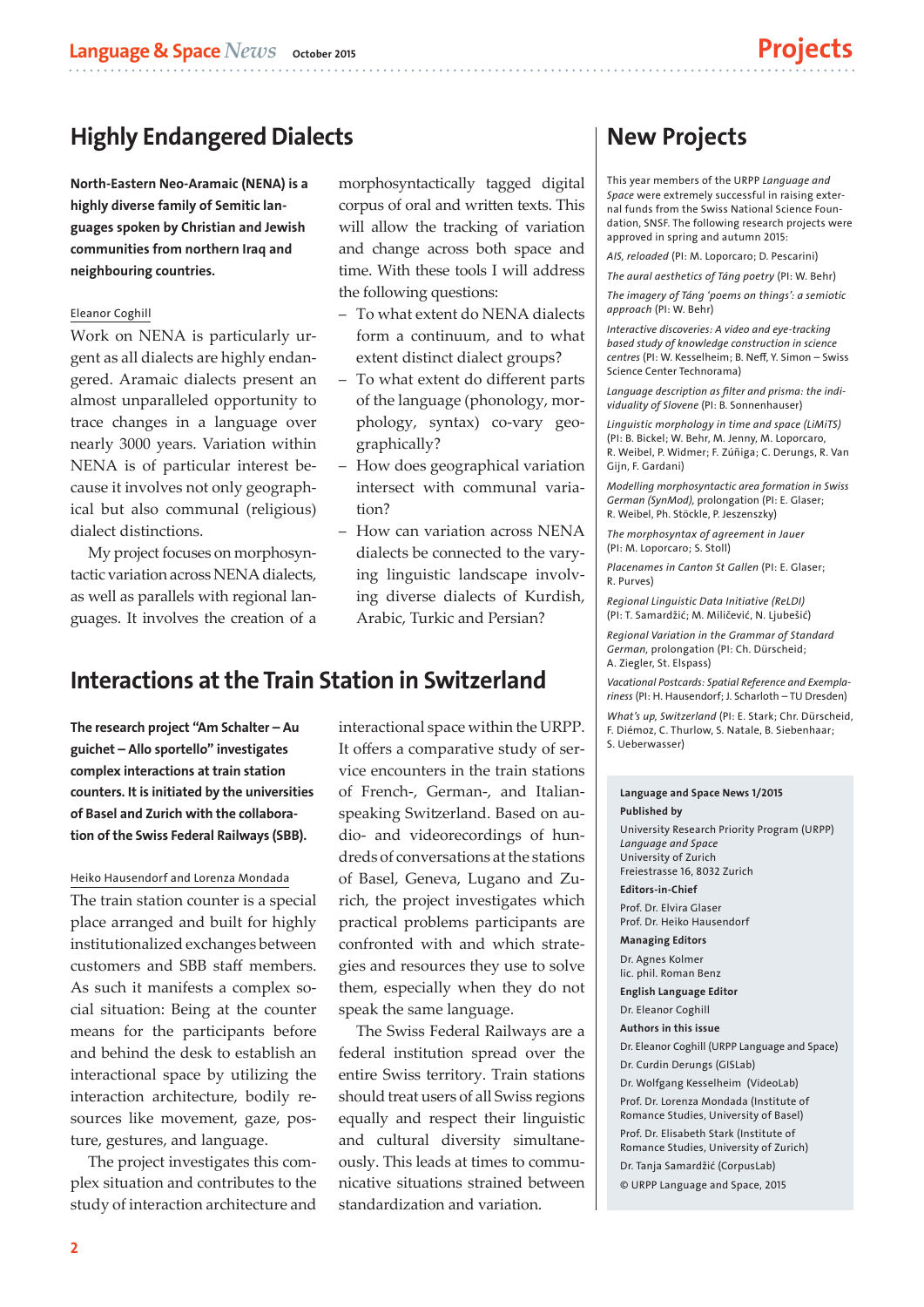## Highly Endangered Dialects

North-Eastern Neo-Aramaic (NENA) is a highly diverse family of Semitic languages spoken by Christian and Jewish communities from northern Iraq and neighbouring countries.

#### Eleanor Coghill

Work on NENA is particularly urgent as all dialects are highly endangered. Aramaic dialects present an almost unparalleled opportunity to trace changes in a language over nearly 3000 years. Variation within NENA is of particular interest because it involves not only geographical but also communal (religious) dialect distinctions.

My project focuses on morphosyntactic variation across NENA dialects, as well as parallels with regional languages. It involves the creation of a morphosyntactically tagged digital corpus of oral and written texts. This will allow the tracking of variation and change across both space and time. With these tools I will address the following questions:

- To what extent do NENA dialects form a continuum, and to what extent distinct dialect groups?
- ‒ To what extent do different parts of the language (phonology, morphology, syntax) co-vary geographically?
- How does geographical variation intersect with communal variation?
- How can variation across NENA dialects be connected to the varying linguistic landscape involving diverse dialects of Kurdish, Arabic, Turkic and Persian?

## Interactions at the Train Station in Switzerland

The research project "Am Schalter – Au guichet – Allo sportello" investigates complex interactions at train station counters. It is initiated by the universities of Basel and Zurich with the collaboration of the Swiss Federal Railways (SBB).

#### Heiko Hausendorf and Lorenza Mondada

The train station counter is a special place arranged and built for highly institutionalized exchanges between customers and SBB staff members. As such it manifests a complex social situation: Being at the counter means for the participants before and behind the desk to establish an interactional space by utilizing the interaction architecture, bodily resources like movement, gaze, posture, gestures, and language.

The project investigates this complex situation and contributes to the study of interaction architecture and interactional space within the URPP. It offers a comparative study of service encounters in the train stations of French-, German-, and Italianspeaking Switzerland. Based on audio- and videorecordings of hundreds of conversations at the stations of Basel, Geneva, Lugano and Zurich, the project investigates which practical problems participants are confronted with and which strategies and resources they use to solve them, especially when they do not speak the same language.

The Swiss Federal Railways are a federal institution spread over the entire Swiss territory. Train stations should treat users of all Swiss regions equally and respect their linguistic and cultural diversity simultaneously. This leads at times to communicative situations strained between standardization and variation.

## New Projects

This year members of the URPP *Language and Space* were extremely successful in raising external funds from the Swiss National Science Foundation, SNSF. The following research projects were approved in spring and autumn 2015:

*AIS, reloaded* (PI: M. Loporcaro; D. Pescarini)

*The aural aesthetics of Táng poetry* (PI: W. Behr)

*The imagery of Táng 'poems on things': a semiotic approach* (PI: W. Behr)

*Interactive discoveries: A video and eye-tracking based study of knowledge construction in science centres* (PI: W. Kesselheim; B. Neff, Y. Simon – Swiss Science Center Technorama)

*Language description as filter and prisma: the individuality of Slovene* (PI: B. Sonnenhauser)

*Linguistic morphology in time and space (LiMiTS)* (PI: B. Bickel; W. Behr, M. Jenny, M. Loporcaro, R. Weibel, P. Widmer; F. Zúñiga; C. Derungs, R. Van Gijn, F. Gardani)

*Modelling morphosyntactic area formation in Swiss German (SynMod),* prolongation (PI: E. Glaser; R. Weibel, Ph. Stöckle, P. Jeszenszky)

*The morphosyntax of agreement in Jauer* (PI: M. Loporcaro; S. Stoll)

*Placenames in Canton St Gallen* (PI: E. Glaser; R. Purves)

*Regional Linguistic Data Initiative (ReLDI)* (PI: T. Samardžić; M. Miličević, N. Ljubešić)

*Regional Variation in the Grammar of Standard German,* prolongation (PI: Ch. Dürscheid; A. Ziegler, St. Elspass)

*Vacational Postcards: Spatial Reference and Exemplariness* (PI: H. Hausendorf; J. Scharloth – TU Dresden)

*What's up, Switzerland* (PI: E. Stark; Chr. Dürscheid, F. Diémoz, C. Thurlow, S. Natale, B. Siebenhaar; S. Ueberwasser)

#### Language and Space News 1/2015 Published by

University Research Priority Program (URPP) *Language and Space* University of Zurich Freiestrasse 16, 8032 Zurich

Editors-in-Chief Prof. Dr. Elvira Glaser Prof. Dr. Heiko Hausendorf

Managing Editors Dr. Agnes Kolmer lic. phil. Roman Benz

English Language Editor

Dr. Eleanor Coghill

Authors in this issue

Dr. Eleanor Coghill (URPP Language and Space)

Dr. Curdin Derungs (GISLab)

Dr. Wolfgang Kesselheim (VideoLab)

Prof. Dr. Lorenza Mondada (Institute of Romance Studies, University of Basel) Prof. Dr. Elisabeth Stark (Institute of Romance Studies, University of Zurich) Dr. Tanja Samardžić (CorpusLab) © URPP Language and Space, 2015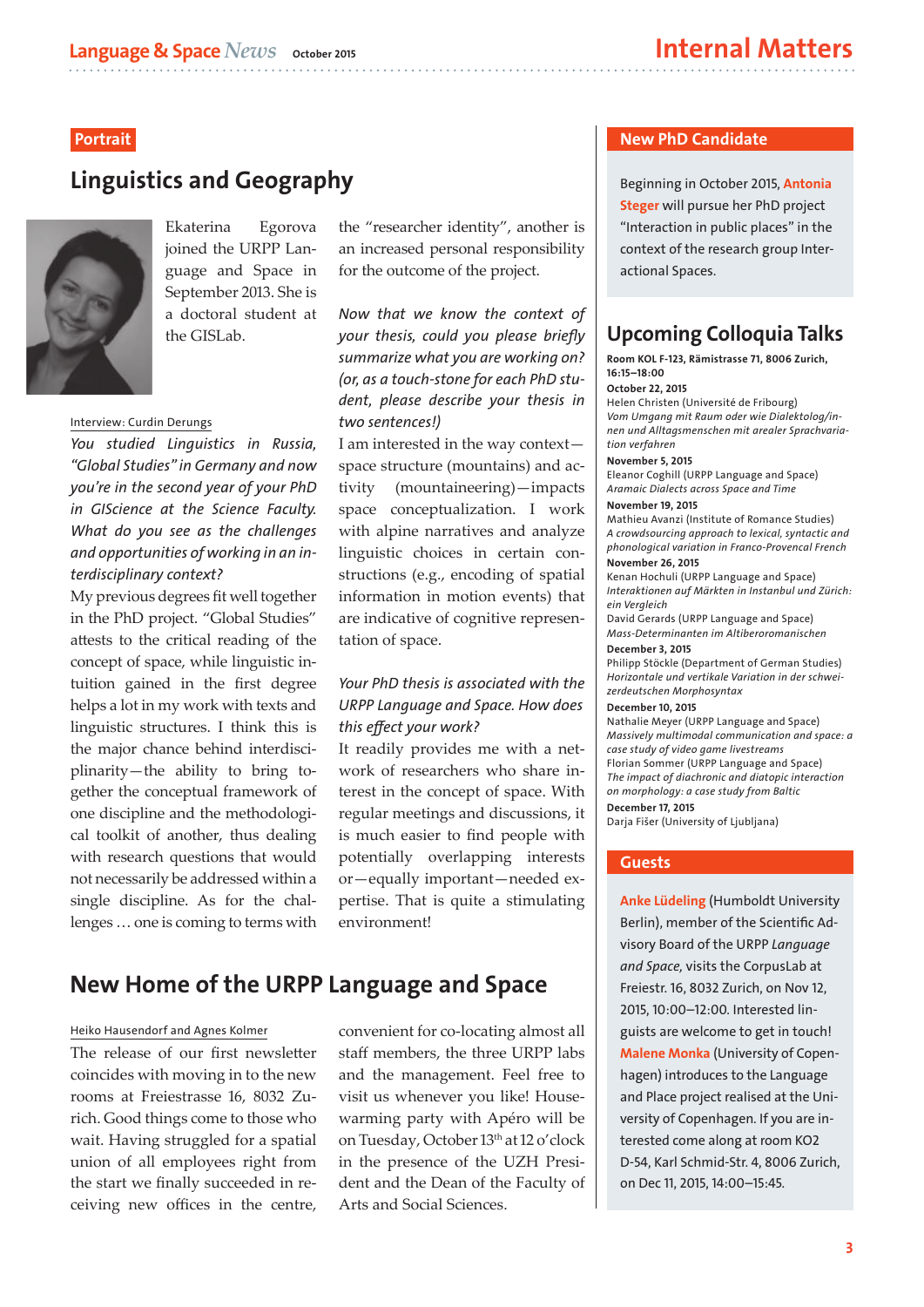### Portrait

## Linguistics and Geography



Ekaterina Egorova joined the URPP Language and Space in September 2013. She is a doctoral student at the GISLab.

#### Interview: Curdin Derungs

*You studied Linguistics in Russia, "Global Studies" in Germany and now you're in the second year of your PhD in GIScience at the Science Faculty. What do you see as the challenges and opportunities of working in an interdisciplinary context?*

My previous degrees fit well together in the PhD project. "Global Studies" attests to the critical reading of the concept of space, while linguistic intuition gained in the first degree helps a lot in my work with texts and linguistic structures. I think this is the major chance behind interdisciplinarity—the ability to bring together the conceptual framework of one discipline and the methodological toolkit of another, thus dealing with research questions that would not necessarily be addressed within a single discipline. As for the challenges … one is coming to terms with

the "researcher identity", another is an increased personal responsibility for the outcome of the project.

*Now that we know the context of your thesis, could you please briefly summarize what you are working on? (or, as a touch-stone for each PhD student, please describe your thesis in two sentences!)*

I am interested in the way context space structure (mountains) and activity (mountaineering)—impacts space conceptualization. I work with alpine narratives and analyze linguistic choices in certain constructions (e.g., encoding of spatial information in motion events) that are indicative of cognitive representation of space.

### *Your PhD thesis is associated with the URPP Language and Space. How does this effect your work?*

It readily provides me with a network of researchers who share interest in the concept of space. With regular meetings and discussions, it is much easier to find people with potentially overlapping interests or—equally important—needed expertise. That is quite a stimulating environment!

## New Home of the URPP Language and Space

#### Heiko Hausendorf and Agnes Kolmer

The release of our first newsletter coincides with moving in to the new rooms at Freiestrasse 16, 8032 Zurich. Good things come to those who wait. Having struggled for a spatial union of all employees right from the start we finally succeeded in receiving new offices in the centre, convenient for co-locating almost all staff members, the three URPP labs and the management. Feel free to visit us whenever you like! Housewarming party with Apéro will be on Tuesday, October 13th at 12 o'clock in the presence of the UZH President and the Dean of the Faculty of Arts and Social Sciences.

#### New PhD Candidate

Beginning in October 2015, Antonia Steger will pursue her PhD project "Interaction in public places" in the context of the research group Interactional Spaces.

## Upcoming Colloquia Talks

Room KOL F-123, Rämistrasse 71, 8006 Zurich, 16:15–18:00

#### October 22, 2015

Helen Christen (Université de Fribourg) *Vom Umgang mit Raum oder wie Dialektolog/innen und Alltagsmenschen mit arealer Sprachvariation verfahren* 

#### November 5, 2015

Eleanor Coghill (URPP Language and Space) *Aramaic Dialects across Space and Time* 

#### November 19, 2015

Mathieu Avanzi (Institute of Romance Studies) *A crowdsourcing approach to lexical, syntactic and phonological variation in Franco-Provencal French* November 26, 2015

Kenan Hochuli (URPP Language and Space) *Interaktionen auf Märkten in Instanbul und Zürich: ein Vergleich*

David Gerards (URPP Language and Space) *Mass-Determinanten im Altiberoromanischen* December 3, 2015

Philipp Stöckle (Department of German Studies) *Horizontale und vertikale Variation in der schweizerdeutschen Morphosyntax*

#### December 10, 2015

Nathalie Meyer (URPP Language and Space) *Massively multimodal communication and space: a case study of video game livestreams*  Florian Sommer (URPP Language and Space) *The impact of diachronic and diatopic interaction on morphology: a case study from Baltic*  December 17, 2015

Darja Fišer (University of Ljubljana)

#### Full program: www.spur.uzh.ch/veranstaltungen/ Guests lingkol/hs2015.html

Anke Lüdeling (Humboldt University Berlin), member of the Scientific Advisory Board of the URPP *Language and Space,* visits the CorpusLab at Freiestr. 16, 8032 Zurich, on Nov 12, 2015, 10:00–12:00. Interested linguists are welcome to get in touch! Malene Monka (University of Copenhagen) introduces to the Language and Place project realised at the University of Copenhagen. If you are interested come along at room KO2 D-54, Karl Schmid-Str. 4, 8006 Zurich, on Dec 11, 2015, 14:00–15:45.